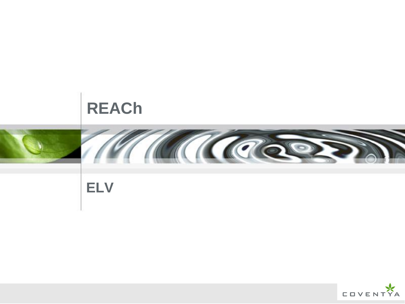

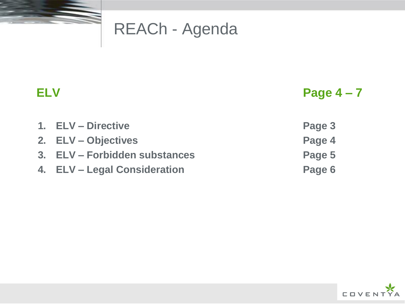

## REACh - Agenda

 **ELV Page 4 – 7**

- **1. ELV – Directive Page 3**
- **2. ELV – Objectives Page 4**
- **3. ELV – Forbidden substances Page 5**
- **4. ELV – Legal Consideration Page 6**

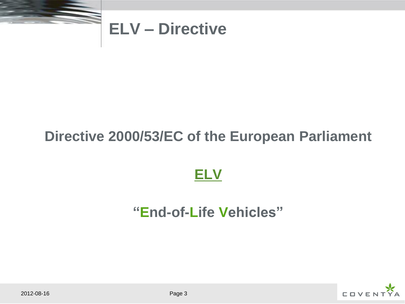

## **ELV – Directive**

### **Directive 2000/53/EC of the European Parliament**



### **"End-of-Life Vehicles"**

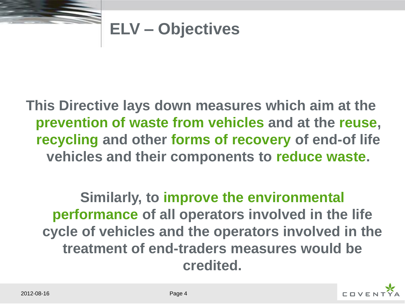

# **ELV – Objectives**

**This Directive lays down measures which aim at the prevention of waste from vehicles and at the reuse, recycling and other forms of recovery of end-of life vehicles and their components to reduce waste.** 

**Similarly, to improve the environmental performance of all operators involved in the life cycle of vehicles and the operators involved in the treatment of end-traders measures would be credited.**

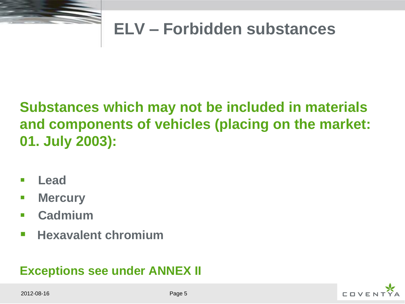

## **ELV – Forbidden substances**

## **Substances which may not be included in materials and components of vehicles (placing on the market: 01. July 2003):**

- **Lead**
- **E** Mercury
- **Cadmium**
- **Hexavalent chromium**

#### **Exceptions see under ANNEX II**